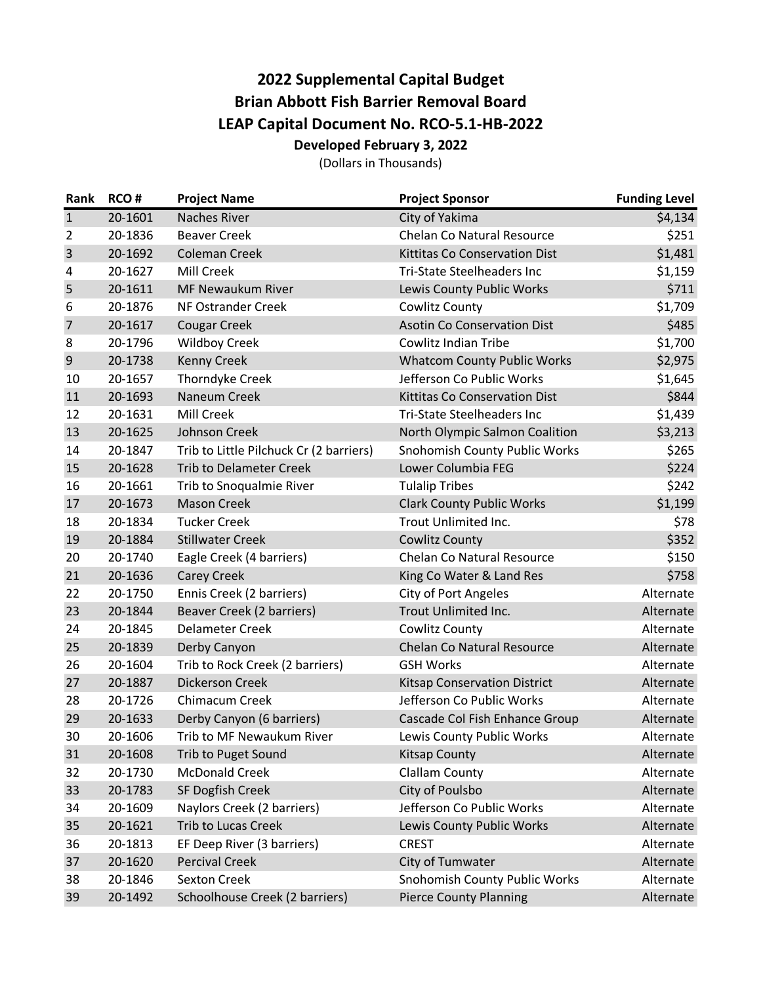## **2022 Supplemental Capital Budget Brian Abbott Fish Barrier Removal Board LEAP Capital Document No. RCO‐5.1‐HB‐2022 Developed February 3, 2022**

(Dollars in Thousands)

|                | Rank RCO# | <b>Project Name</b>                     | <b>Project Sponsor</b>               | <b>Funding Level</b> |
|----------------|-----------|-----------------------------------------|--------------------------------------|----------------------|
| $\mathbf{1}$   | 20-1601   | <b>Naches River</b>                     | City of Yakima                       | \$4,134              |
| $\overline{2}$ | 20-1836   | <b>Beaver Creek</b>                     | <b>Chelan Co Natural Resource</b>    | \$251                |
| $\overline{3}$ | 20-1692   | <b>Coleman Creek</b>                    | <b>Kittitas Co Conservation Dist</b> | \$1,481              |
| 4              | 20-1627   | <b>Mill Creek</b>                       | <b>Tri-State Steelheaders Inc</b>    | \$1,159              |
| 5              | 20-1611   | MF Newaukum River                       | Lewis County Public Works            | \$711                |
| 6              | 20-1876   | NF Ostrander Creek                      | Cowlitz County                       | \$1,709              |
| $\overline{7}$ | 20-1617   | <b>Cougar Creek</b>                     | <b>Asotin Co Conservation Dist</b>   | \$485                |
| 8              | 20-1796   | <b>Wildboy Creek</b>                    | <b>Cowlitz Indian Tribe</b>          | \$1,700              |
| 9              | 20-1738   | <b>Kenny Creek</b>                      | <b>Whatcom County Public Works</b>   | \$2,975              |
| 10             | 20-1657   | Thorndyke Creek                         | Jefferson Co Public Works            | \$1,645              |
| 11             | 20-1693   | Naneum Creek                            | <b>Kittitas Co Conservation Dist</b> | \$844                |
| 12             | 20-1631   | Mill Creek                              | <b>Tri-State Steelheaders Inc</b>    | \$1,439              |
| 13             | 20-1625   | Johnson Creek                           | North Olympic Salmon Coalition       | \$3,213              |
| 14             | 20-1847   | Trib to Little Pilchuck Cr (2 barriers) | Snohomish County Public Works        | \$265                |
| 15             | 20-1628   | <b>Trib to Delameter Creek</b>          | Lower Columbia FEG                   | \$224                |
| 16             | 20-1661   | Trib to Snoqualmie River                | <b>Tulalip Tribes</b>                | \$242                |
| 17             | 20-1673   | <b>Mason Creek</b>                      | <b>Clark County Public Works</b>     | \$1,199              |
| 18             | 20-1834   | <b>Tucker Creek</b>                     | Trout Unlimited Inc.                 | \$78                 |
| 19             | 20-1884   | <b>Stillwater Creek</b>                 | <b>Cowlitz County</b>                | \$352                |
| 20             | 20-1740   | Eagle Creek (4 barriers)                | <b>Chelan Co Natural Resource</b>    | \$150                |
| 21             | 20-1636   | <b>Carey Creek</b>                      | King Co Water & Land Res             | \$758                |
| 22             | 20-1750   | Ennis Creek (2 barriers)                | <b>City of Port Angeles</b>          | Alternate            |
| 23             | 20-1844   | <b>Beaver Creek (2 barriers)</b>        | Trout Unlimited Inc.                 | Alternate            |
| 24             | 20-1845   | <b>Delameter Creek</b>                  | Cowlitz County                       | Alternate            |
| 25             | 20-1839   | Derby Canyon                            | <b>Chelan Co Natural Resource</b>    | Alternate            |
| 26             | 20-1604   | Trib to Rock Creek (2 barriers)         | <b>GSH Works</b>                     | Alternate            |
| 27             | 20-1887   | <b>Dickerson Creek</b>                  | <b>Kitsap Conservation District</b>  | Alternate            |
| 28             | 20-1726   | Chimacum Creek                          | Jefferson Co Public Works            | Alternate            |
| 29             | 20-1633   | Derby Canyon (6 barriers)               | Cascade Col Fish Enhance Group       | Alternate            |
| 30             | 20-1606   | Trib to MF Newaukum River               | Lewis County Public Works            | Alternate            |
| 31             | 20-1608   | <b>Trib to Puget Sound</b>              | <b>Kitsap County</b>                 | Alternate            |
| 32             | 20-1730   | <b>McDonald Creek</b>                   | <b>Clallam County</b>                | Alternate            |
| 33             | 20-1783   | SF Dogfish Creek                        | City of Poulsbo                      | Alternate            |
| 34             | 20-1609   | Naylors Creek (2 barriers)              | Jefferson Co Public Works            | Alternate            |
| 35             | 20-1621   | <b>Trib to Lucas Creek</b>              | Lewis County Public Works            | Alternate            |
| 36             | 20-1813   | EF Deep River (3 barriers)              | <b>CREST</b>                         | Alternate            |
| 37             | 20-1620   | <b>Percival Creek</b>                   | City of Tumwater                     | Alternate            |
| 38             | 20-1846   | Sexton Creek                            | <b>Snohomish County Public Works</b> | Alternate            |
| 39             | 20-1492   | Schoolhouse Creek (2 barriers)          | <b>Pierce County Planning</b>        | Alternate            |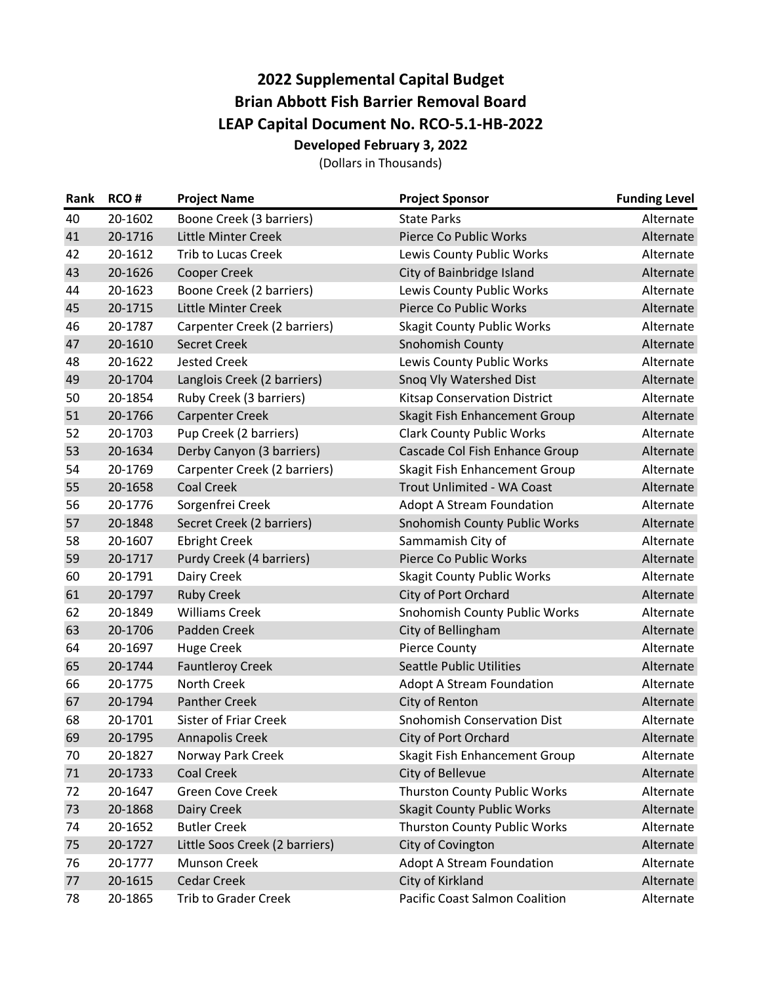## **2022 Supplemental Capital Budget Brian Abbott Fish Barrier Removal Board LEAP Capital Document No. RCO‐5.1‐HB‐2022 Developed February 3, 2022**

(Dollars in Thousands)

| Rank | RCO#    | <b>Project Name</b>            | <b>Project Sponsor</b>                | <b>Funding Level</b> |
|------|---------|--------------------------------|---------------------------------------|----------------------|
| 40   | 20-1602 | Boone Creek (3 barriers)       | <b>State Parks</b>                    | Alternate            |
| 41   | 20-1716 | Little Minter Creek            | Pierce Co Public Works                | Alternate            |
| 42   | 20-1612 | <b>Trib to Lucas Creek</b>     | Lewis County Public Works             | Alternate            |
| 43   | 20-1626 | <b>Cooper Creek</b>            | City of Bainbridge Island             | Alternate            |
| 44   | 20-1623 | Boone Creek (2 barriers)       | Lewis County Public Works             | Alternate            |
| 45   | 20-1715 | Little Minter Creek            | Pierce Co Public Works                | Alternate            |
| 46   | 20-1787 | Carpenter Creek (2 barriers)   | <b>Skagit County Public Works</b>     | Alternate            |
| 47   | 20-1610 | <b>Secret Creek</b>            | Snohomish County                      | Alternate            |
| 48   | 20-1622 | <b>Jested Creek</b>            | Lewis County Public Works             | Alternate            |
| 49   | 20-1704 | Langlois Creek (2 barriers)    | Snoq Vly Watershed Dist               | Alternate            |
| 50   | 20-1854 | Ruby Creek (3 barriers)        | <b>Kitsap Conservation District</b>   | Alternate            |
| 51   | 20-1766 | <b>Carpenter Creek</b>         | Skagit Fish Enhancement Group         | Alternate            |
| 52   | 20-1703 | Pup Creek (2 barriers)         | <b>Clark County Public Works</b>      | Alternate            |
| 53   | 20-1634 | Derby Canyon (3 barriers)      | Cascade Col Fish Enhance Group        | Alternate            |
| 54   | 20-1769 | Carpenter Creek (2 barriers)   | Skagit Fish Enhancement Group         | Alternate            |
| 55   | 20-1658 | <b>Coal Creek</b>              | Trout Unlimited - WA Coast            | Alternate            |
| 56   | 20-1776 | Sorgenfrei Creek               | <b>Adopt A Stream Foundation</b>      | Alternate            |
| 57   | 20-1848 | Secret Creek (2 barriers)      | Snohomish County Public Works         | Alternate            |
| 58   | 20-1607 | <b>Ebright Creek</b>           | Sammamish City of                     | Alternate            |
| 59   | 20-1717 | Purdy Creek (4 barriers)       | Pierce Co Public Works                | Alternate            |
| 60   | 20-1791 | Dairy Creek                    | <b>Skagit County Public Works</b>     | Alternate            |
| 61   | 20-1797 | <b>Ruby Creek</b>              | City of Port Orchard                  | Alternate            |
| 62   | 20-1849 | <b>Williams Creek</b>          | Snohomish County Public Works         | Alternate            |
| 63   | 20-1706 | Padden Creek                   | City of Bellingham                    | Alternate            |
| 64   | 20-1697 | <b>Huge Creek</b>              | <b>Pierce County</b>                  | Alternate            |
| 65   | 20-1744 | <b>Fauntleroy Creek</b>        | <b>Seattle Public Utilities</b>       | Alternate            |
| 66   | 20-1775 | North Creek                    | <b>Adopt A Stream Foundation</b>      | Alternate            |
| 67   | 20-1794 | <b>Panther Creek</b>           | City of Renton                        | Alternate            |
| 68   | 20-1701 | <b>Sister of Friar Creek</b>   | <b>Snohomish Conservation Dist</b>    | Alternate            |
| 69   | 20-1795 | Annapolis Creek                | City of Port Orchard                  | Alternate            |
| 70   | 20-1827 | Norway Park Creek              | Skagit Fish Enhancement Group         | Alternate            |
| 71   | 20-1733 | <b>Coal Creek</b>              | City of Bellevue                      | Alternate            |
| 72   | 20-1647 | Green Cove Creek               | Thurston County Public Works          | Alternate            |
| 73   | 20-1868 | Dairy Creek                    | <b>Skagit County Public Works</b>     | Alternate            |
| 74   | 20-1652 | <b>Butler Creek</b>            | <b>Thurston County Public Works</b>   | Alternate            |
| 75   | 20-1727 | Little Soos Creek (2 barriers) | City of Covington                     | Alternate            |
| 76   | 20-1777 | <b>Munson Creek</b>            | Adopt A Stream Foundation             | Alternate            |
| 77   | 20-1615 | <b>Cedar Creek</b>             | City of Kirkland                      | Alternate            |
| 78   | 20-1865 | <b>Trib to Grader Creek</b>    | <b>Pacific Coast Salmon Coalition</b> | Alternate            |